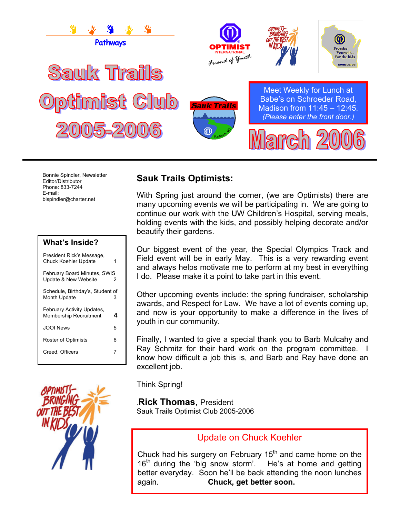

Bonnie Spindler, Newsletter Editor/Distributor Phone: 833-7244 E-mail: blspindler@charter.net

| <b>What's Inside?</b> |  |
|-----------------------|--|
|                       |  |

| President Rick's Message,<br><b>Chuck Koehler Update</b>    | 1  |
|-------------------------------------------------------------|----|
| February Board Minutes, SWIS<br>Update & New Website        | 2  |
| Schedule, Birthday's, Student of<br>Month Update            | з  |
| February Activity Updates,<br><b>Membership Recruitment</b> | 4  |
| JOOI News                                                   | 5  |
| Roster of Optimists                                         | ิค |
| Creed, Officers                                             | 7  |



## **Sauk Trails Optimists:**

With Spring just around the corner, (we are Optimists) there are many upcoming events we will be participating in. We are going to continue our work with the UW Children's Hospital, serving meals, holding events with the kids, and possibly helping decorate and/or beautify their gardens.

Our biggest event of the year, the Special Olympics Track and Field event will be in early May. This is a very rewarding event and always helps motivate me to perform at my best in everything I do. Please make it a point to take part in this event.

Other upcoming events include: the spring fundraiser, scholarship awards, and Respect for Law. We have a lot of events coming up, and now is your opportunity to make a difference in the lives of youth in our community.

Finally, I wanted to give a special thank you to Barb Mulcahy and Ray Schmitz for their hard work on the program committee. I know how difficult a job this is, and Barb and Ray have done an excellent job.

Think Spring!

## .**Rick Thomas**, President

Sauk Trails Optimist Club 2005-2006

## Update on Chuck Koehler

Chuck had his surgery on February  $15<sup>th</sup>$  and came home on the 16<sup>th</sup> during the 'big snow storm'. He's at home and getting better everyday. Soon he'll be back attending the noon lunches again. **Chuck, get better soon.**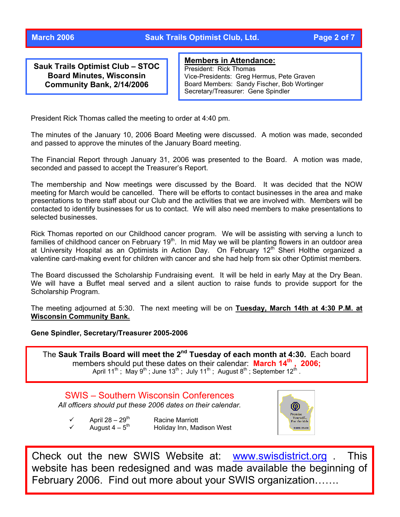**Sauk Trails Optimist Club – STOC Board Minutes, Wisconsin Community Bank, 2/14/2006** 

### **Members in Attendance:**

President: Rick Thomas Vice-Presidents: Greg Hermus, Pete Graven Board Members: Sandy Fischer, Bob Wortinger Secretary/Treasurer: Gene Spindler

President Rick Thomas called the meeting to order at 4:40 pm.

The minutes of the January 10, 2006 Board Meeting were discussed. A motion was made, seconded and passed to approve the minutes of the January Board meeting.

The Financial Report through January 31, 2006 was presented to the Board. A motion was made, seconded and passed to accept the Treasurer's Report.

The membership and Now meetings were discussed by the Board. It was decided that the NOW meeting for March would be cancelled. There will be efforts to contact businesses in the area and make presentations to there staff about our Club and the activities that we are involved with. Members will be contacted to identify businesses for us to contact. We will also need members to make presentations to selected businesses.

Rick Thomas reported on our Childhood cancer program. We will be assisting with serving a lunch to families of childhood cancer on February 19<sup>th</sup>. In mid May we will be planting flowers in an outdoor area at University Hospital as an Optimists in Action Day. On February 12<sup>th</sup> Sheri Holthe organized a valentine card-making event for children with cancer and she had help from six other Optimist members.

The Board discussed the Scholarship Fundraising event. It will be held in early May at the Dry Bean. We will have a Buffet meal served and a silent auction to raise funds to provide support for the Scholarship Program.

The meeting adjourned at 5:30. The next meeting will be on **Tuesday, March 14th at 4:30 P.M. at Wisconsin Community Bank.**

#### **Gene Spindler, Secretary/Treasurer 2005-2006**

The Sauk Trails Board will meet the 2<sup>nd</sup> Tuesday of each month at 4:30. Each board members should put these dates on their calendar: March 14<sup>th</sup>, 2006; April 11<sup>th</sup>; May 9<sup>th</sup>;June 13<sup>th</sup>; July 11<sup>th</sup>; August 8<sup>th</sup>;September 12<sup>th</sup> .

SWIS – Southern Wisconsin Conferences *All officers should put these 2006 dates on their calendar.* 

- $\checkmark$  April 28 29<sup>th</sup> Racine Marriott <br>
→ August 4 5<sup>th</sup> Holiday Inn, Ma
	- Holiday Inn, Madison West



Check out the new SWIS Website at: [www.swisdistrict.org](http://www.swisdistrict.org/) . This website has been redesigned and was made available the beginning of February 2006. Find out more about your SWIS organization…….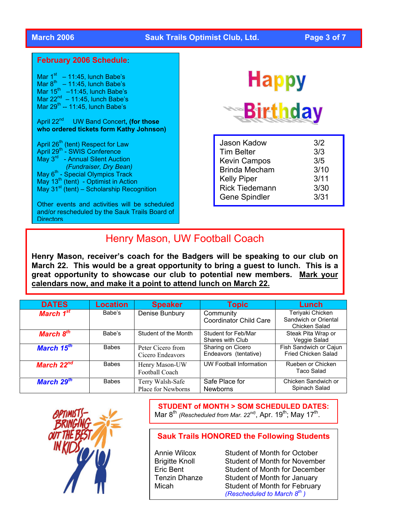## **March 2006 Sauk Trails Optimist Club, Ltd. Page 3 of 7**

#### **February 2006 Schedule**:

Mar  $1<sup>st</sup> - 11:45$ , lunch Babe's Mar  $8^{th}$  – 11:45, lunch Babe's Mar  $15^{th}$  –11:45, lunch Babe's Mar  $22^{nd}$  – 11:45, lunch Babe's Mar  $29^{th} - 11:45$ , lunch Babe's April 22nd UW Band Concert**, (for those who ordered tickets form Kathy Johnson)** April 26<sup>th</sup> (tent) Respect for Law April 29<sup>th</sup> - SWIS Conference May 3<sup>rd</sup> - Annual Silent Auction  *(Fundraiser, Dry Bean)*  May 6<sup>th</sup> - Special Olympics Track May  $13<sup>th</sup>$  (tent) - Optimist in Action May 31 $\mathrm{st}$  (tent) – Scholarship Recognition Other events and activities will be scheduled

and/or rescheduled by the Sauk Trails Board of **Directors** 

# **Happy Birthday**

| 3/2  |
|------|
| 3/3  |
| 3/5  |
| 3/10 |
| 3/11 |
| 3/30 |
| 3/31 |
|      |

## Henry Mason, UW Football Coach

**Henry Mason, receiver's coach for the Badgers will be speaking to our club on March 22. This would be a great opportunity to bring a guest to lunch. This is a great opportunity to showcase our club to potential new members. Mark your calendars now, and make it a point to attend lunch on March 22.**

| <b>DATES</b>           | Location     | <b>Speaker</b>                         | Topic                                      | Lunch                                                     |
|------------------------|--------------|----------------------------------------|--------------------------------------------|-----------------------------------------------------------|
| March 1 <sup>st</sup>  | Babe's       | Denise Bunbury                         | Community<br><b>Coordinator Child Care</b> | Teriyaki Chicken<br>Sandwich or Oriental<br>Chicken Salad |
| March 8 <sup>th</sup>  | Babe's       | Student of the Month                   | Student for Feb/Mar<br>Shares with Club    | Steak Pita Wrap or<br>Veggie Salad                        |
| March 15 <sup>th</sup> | <b>Babes</b> | Peter Cicero from<br>Cicero Endeavors  | Sharing on Cicero<br>Endeavors (tentative) | Fish Sandwich or Cajun<br>Fried Chicken Salad             |
| March $22^{nd}$        | <b>Babes</b> | Henry Mason-UW<br>Football Coach       | <b>UW Football Information</b>             | Rueben or Chicken<br>Taco Salad                           |
| March 29 <sup>th</sup> | <b>Babes</b> | Terry Walsh-Safe<br>Place for Newborns | Safe Place for<br><b>Newborns</b>          | Chicken Sandwich or<br>Spinach Salad                      |



**STUDENT of MONTH > SOM SCHEDULED DATES:**  Mar 8<sup>th</sup> *(Rescheduled from Mar. 22<sup>nd)</sup>*, Apr. 19<sup>th</sup>; May 17<sup>th</sup>.

## **Sauk Trails HONORED the Following Students**

Annie Wilcox Student of Month for October Brigitte Knoll Student of Month for November Eric Bent Student of Month for December Tenzin Dhanze Student of Month for January Micah Student of Month for February *(Rescheduled to March 8th )*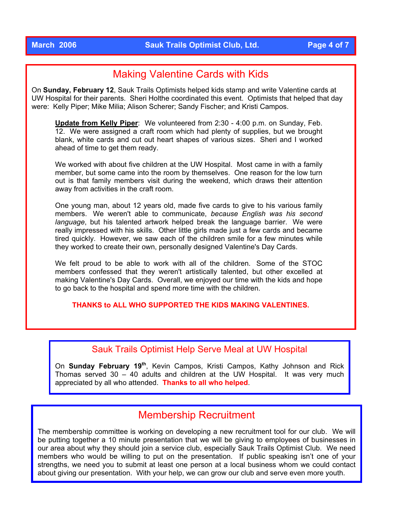## Making Valentine Cards with Kids

On **Sunday, February 12**, Sauk Trails Optimists helped kids stamp and write Valentine cards at UW Hospital for their parents. Sheri Holthe coordinated this event. Optimists that helped that day were: Kelly Piper; Mike Milia; Alison Scherer; Sandy Fischer; and Kristi Campos.

**Update from Kelly Piper**: We volunteered from 2:30 - 4:00 p.m. on Sunday, Feb. 12. We were assigned a craft room which had plenty of supplies, but we brought blank, white cards and cut out heart shapes of various sizes. Sheri and I worked ahead of time to get them ready.

We worked with about five children at the UW Hospital. Most came in with a family member, but some came into the room by themselves. One reason for the low turn out is that family members visit during the weekend, which draws their attention away from activities in the craft room.

One young man, about 12 years old, made five cards to give to his various family members. We weren't able to communicate, *because English was his second language*, but his talented artwork helped break the language barrier. We were really impressed with his skills. Other little girls made just a few cards and became tired quickly. However, we saw each of the children smile for a few minutes while they worked to create their own, personally designed Valentine's Day Cards.

We felt proud to be able to work with all of the children. Some of the STOC members confessed that they weren't artistically talented, but other excelled at making Valentine's Day Cards. Overall, we enjoyed our time with the kids and hope to go back to the hospital and spend more time with the children.

**THANKS to ALL WHO SUPPORTED THE KIDS MAKING VALENTINES.** 

## Sauk Trails Optimist Help Serve Meal at UW Hospital

On **Sunday February 19th**, Kevin Campos, Kristi Campos, Kathy Johnson and Rick Thomas served 30 – 40 adults and children at the UW Hospital. It was very much appreciated by all who attended. **Thanks to all who helped**.

## Membership Recruitment

The membership committee is working on developing a new recruitment tool for our club. We will be putting together a 10 minute presentation that we will be giving to employees of businesses in our area about why they should join a service club, especially Sauk Trails Optimist Club. We need members who would be willing to put on the presentation. If public speaking isn't one of your strengths, we need you to submit at least one person at a local business whom we could contact about giving our presentation. With your help, we can grow our club and serve even more youth.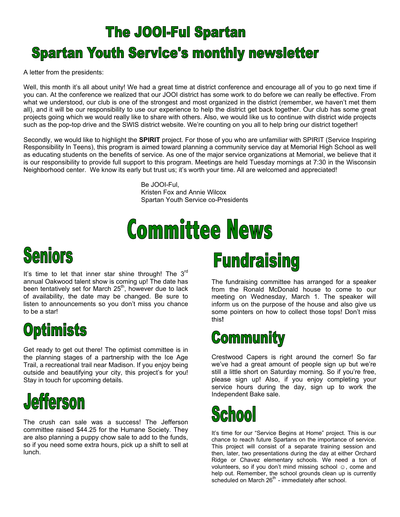## **The JOOI-Ful Spartan**

## **Spartan Youth Service's monthly newsletter**

A letter from the presidents:

Well, this month it's all about unity! We had a great time at district conference and encourage all of you to go next time if you can. At the conference we realized that our JOOI district has some work to do before we can really be effective. From what we understood, our club is one of the strongest and most organized in the district (remember, we haven't met them all), and it will be our responsibility to use our experience to help the district get back together. Our club has some great projects going which we would really like to share with others. Also, we would like us to continue with district wide projects such as the pop-top drive and the SWIS district website. We're counting on you all to help bring our district together!

Secondly, we would like to highlight the **SPIRIT** project. For those of you who are unfamiliar with SPIRIT (Service Inspiring Responsibility In Teens), this program is aimed toward planning a community service day at Memorial High School as well as educating students on the benefits of service. As one of the major service organizations at Memorial, we believe that it is our responsibility to provide full support to this program. Meetings are held Tuesday mornings at 7:30 in the Wisconsin Neighborhood center. We know its early but trust us; it's worth your time. All are welcomed and appreciated!

> Be JOOI-Ful, Kristen Fox and Annie Wilcox Spartan Youth Service co-Presidents

# **Committee News**

# Seniors

It's time to let that inner star shine through! The  $3<sup>rd</sup>$ annual Oakwood talent show is coming up! The date has been tentatively set for March 25<sup>th</sup>, however due to lack of availability, the date may be changed. Be sure to listen to announcements so you don't miss you chance to be a star!

# **Optimists**

Get ready to get out there! The optimist committee is in the planning stages of a partnership with the Ice Age Trail, a recreational trail near Madison. If you enjoy being outside and beautifying your city, this project's for you! Stay in touch for upcoming details.



The crush can sale was a success! The Jefferson committee raised \$44.25 for the Humane Society. They are also planning a puppy chow sale to add to the funds, so if you need some extra hours, pick up a shift to sell at lunch.

# **Fundraising**

The fundraising committee has arranged for a speaker from the Ronald McDonald house to come to our meeting on Wednesday, March 1. The speaker will inform us on the purpose of the house and also give us some pointers on how to collect those tops! Don't miss this**!** 

# **Community**

Crestwood Capers is right around the corner! So far we've had a great amount of people sign up but we're still a little short on Saturday morning. So if you're free, please sign up! Also, if you enjoy completing your service hours during the day, sign up to work the Independent Bake sale.

# School

It's time for our "Service Begins at Home" project. This is our chance to reach future Spartans on the importance of service. This project will consist of a separate training session and then, later, two presentations during the day at either Orchard Ridge or Chavez elementary schools. We need a ton of volunteers, so if you don't mind missing school ☺, come and help out. Remember, the school grounds clean up is currently scheduled on March  $26<sup>th</sup>$  - immediately after school.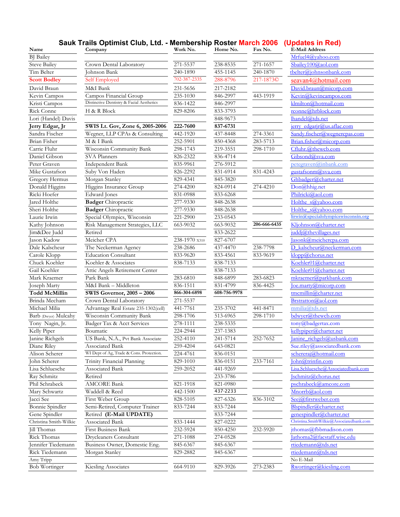#### **Sauk Trails Optimist Club, Ltd. - Membership Roster March 2006 (Updates in Red)**

| Name                          | Company                                                     | Work No.      | Home No.     | Fax No.               | <b>E-Mail Address</b>                                  |
|-------------------------------|-------------------------------------------------------------|---------------|--------------|-----------------------|--------------------------------------------------------|
| <b>BJ</b> Bailey              |                                                             |               |              |                       | Mrfuel4@yahoo.com                                      |
| <b>Steve Bailey</b>           | Crown Dental Laboratory                                     | 271-5537      | 238-8535     | 271-1657              | Sbailey100@aol.com                                     |
| Tim Belter                    | Johnson Bank                                                | 240-1890      | 455-1145     | 240-1870              | tbelter@iohnsonbank.com                                |
| <b>Scott Bodley</b>           | Self Employed                                               | 702-387-2335  | 288-8796     | 217-1873 <sup>©</sup> | <u>seavan4@hotmail.com</u>                             |
| David Braun                   | M&I Bank                                                    | 231-5656      | 217-2182     |                       | David.braun@micorp.com                                 |
| Kevin Campos                  | Campos Financial Group                                      | 235-1030      | 846-2997     | 443-1919              | Kevin@kevincampos.com                                  |
| Kristi Campos                 | Distinctive Dentistry & Facial Aesthetics                   | 836-1422      | 846-2997     |                       | klmilton@hotmail.com                                   |
| Rick Conne                    | H & R Block                                                 | 829-8206      | 833-3793     |                       | rconne@hrblock.com                                     |
| Lori (Handel) Davis           |                                                             |               | 848-9673     |                       | lhandel@tds.net                                        |
| Jerry Edgar, Jr               | SWIS Lt. Gov, Zone 6, 2005-2006                             | 222-7600      | 837-6731     |                       | <u>jerry edgarjr@us.aflac.com</u>                      |
| Sandra Fischer                | Wegner, LLP CPAs & Consulting                               | 442-1920      | 437-8448     | 274-3361              | Sandy.fischer@wegnercpas.com                           |
| Brian Fisher                  | M & I Bank                                                  | 252-5901      | 850-4368     | 283-5713              | Brian.fisher@micorp.com                                |
| Carrie Fluhr                  | Wisconsin Community Bank                                    | 298-1743      | 219-3551     | 298-1710              | Cfluhr.@thewcb.com                                     |
| Daniel Gibson                 | SVA Planners                                                | 826-2322      | 836-4714     |                       | Gibsond@sva.com                                        |
| Peter Graven                  | Independent Bank                                            | 835-9961      | 276-5912     |                       | petegraven@inbank.com                                  |
| Mike Gustafson                | Suby Von Haden                                              | 826-2292      | 831-6914     | 831-4243              | gustafsonm@sva.com                                     |
| Gregory Hermus                | Morgan Stanley                                              | 829-4341      | 845-3820     |                       | Ghbadger@charter.net                                   |
| Donald Higgins                | Higgins Insurance Group                                     | 274-4200      | 824-0914     | 274-4210              | Don@hhig.net                                           |
| Ricki Hoefer                  | <b>Edward</b> Jones                                         | 831-0988      | 833-6268     |                       | Philricki@aol.com                                      |
| Jared Holthe                  | <b>Badger</b> Chiropractic                                  | 277-9330      | 848-2638     |                       | Holthe s@yahoo.com                                     |
| Sheri Holthe                  | <b>Badger</b> Chiropractic                                  | 277-9330      | 848-2638     |                       | Holthe s@vahoo.com                                     |
| Laurie Irwin                  | Special Olympics, Wisconsin                                 | 221-2900      | 233-0543     |                       | lirwin@specialolympicswisconsin.org                    |
| Kathy Johnson                 | Risk Management Strategies, LLC                             | 663-9032      | 663-9032     | 206-666-6435          | Kljohnson@charter.net                                  |
| Jim&Dee Judd                  | Retired                                                     |               | 833-2622     |                       | juddj@thevillages.net                                  |
| Jason Kadow                   | Meicher CPA                                                 | 238-1970 x310 | 827-6707     |                       | asonk@meichercpa.com                                   |
| Dale Kalscheur                | The Neckerman Agency                                        | 238-2686      | 437-4470     | 238-7798              | D kalscheur@neckerman.com                              |
| Carole Klopp                  | <b>Education Consultant</b>                                 | 833-9620      | 833-4561     | 833-9619              | klopp@chorus.net                                       |
| Chuck Koehler                 | Koehler & Associates                                        | 838-7133      | 838-7133     |                       | Koehler01@charter.net                                  |
| Gail Koehler                  | Attic Angels Retirement Center                              |               | 838-7133     |                       | Koehler01@charter.net                                  |
| Mark Kraemer                  | Park Bank                                                   | 283-6810      | 848-6899     | 283-6823              | mkraemer@parkbank.com                                  |
| Joseph Marty                  | M&I Bank - Middleton                                        | 836-1511      | 831-4799     | 836-4425              | loe.marty@micorp.com                                   |
| <b>Todd McMillin</b>          | SWIS Governor, 2005 - 2006                                  | 866-304-6898  | 608-756-9978 |                       | tmcmillin@charter.net                                  |
| Brinda Mecham                 | Crown Dental Laboratory                                     | 271-5537      |              |                       | Brstratton@aol.com                                     |
| Michael Milia                 | Advantage Real Estate 235-1302(cell)                        | 441-7761      | 235-3702     | 441-8471              | mmilia@tds.net                                         |
| Barb (Dwyer) Mulcahy          | Wisconsin Community Bank                                    | 298-1706      | 513-6965     | 298-1710              | bdwyer@thewcb.com                                      |
| Tony Nagin, Jr.               | Badger Tax & Acct Services                                  | 278-1111      | 238-5335     |                       | tony@badgertax.com                                     |
| Kelly Piper                   | Boumatic                                                    | 224-2944      | 237-1383     |                       | kellypiper@charter.net                                 |
|                               |                                                             |               |              |                       |                                                        |
| Janine Richgels               | US Bank, N.A., Pvt Bank Associate                           | 252-4110      | 241-5714     | 252-7652              | Janine richgels@usbank.com                             |
| Diane Riley<br>Alison Scherer | Associated Bank<br>WI Dept of Ag, Trade & Cons. Protection. | 259-4204      | 643-0821     |                       | Sue.riley@associatedbank.com                           |
|                               |                                                             | 224-4761      | 836-0151     |                       | schereraj@hotmail.com                                  |
| John Scherer                  | Trinity Financial Planning                                  | 829-1010      | 836-0151     | 233-7161              | John@trinfin.com<br>Lisa.Schluesche@Associatedbank.com |
| Lisa Schluesche               | Associated Bank                                             | 259-2052      | 441-9269     |                       |                                                        |
| Ray Schmitz                   | Retired                                                     |               | 233-3786     |                       | Ischmitz@chorus.net                                    |
| Phil Schrabeck                | <b>AMCORE Bank</b>                                          | 821-1918      | 821-0980     |                       | pschrabeck@amcore.com                                  |
| Mary Schwartz                 | Waddell & Reed                                              | 442-1500      | 437-2233     |                       | Mnorrb@aol.com                                         |
| Jacci See                     | First Weber Group                                           | 828-5105      | 827-6326     | 836-3102              | Seej@firstweber.com                                    |
| Bonnie Spindler               | Semi-Retired, Computer Trainer                              | 833-7244      | 833-7244     |                       | Blspindler@charter.net                                 |
| Gene Spindler                 | Retired (E-Mail UPDATE)                                     |               | 833-7244     |                       | genespindler@charter.net                               |
| Christina Smith-Wilkie        | Associated Bank                                             | 833-1444      | 827-0222     |                       | Christina.SmithWilkie@Associatedbank.com               |
| Jill Thomas                   | First Business Bank                                         | 232-5924      | 850-4250     | 232-5920              | jthomas@fbbmadison.com                                 |
| Rick Thomas                   | Drycleaners Consultant                                      | 271-1088      | 274-0528     |                       | Jathoma2@facstaff.wisc.edu                             |
| Jennifer Tiedemann            | Business Owner, Domestic Eng.                               | 845-6367      | 845-6367     |                       | rtiedemann@tds.net                                     |
| Rick Tiedemann                | Morgan Stanley                                              | 829-2882      | 845-6367     |                       | rtiedemann@tds.net                                     |
| Amy Tripp                     |                                                             |               |              |                       | No E-Mail                                              |
| <b>Bob Wortinger</b>          | Kiesling Associates                                         | 664-9110      | 829-3926     | 273-2383              | Rwortinger@kiesling.com                                |